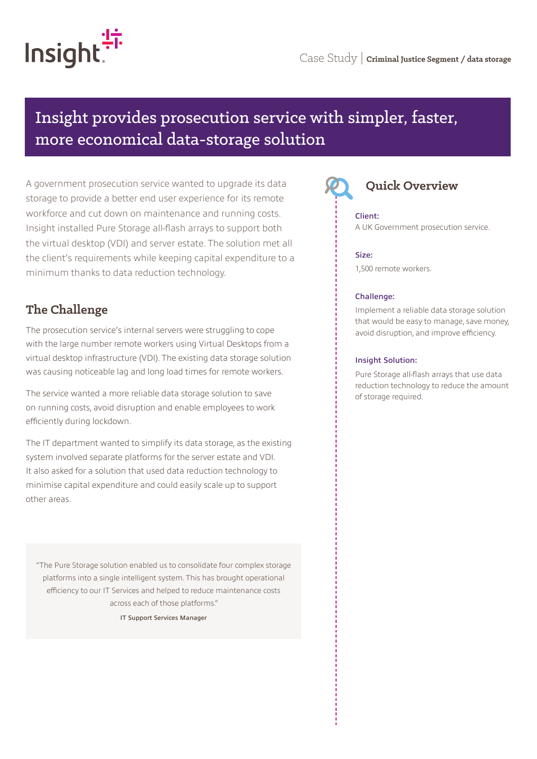

# Insight provides prosecution service with simpler, faster, more economical data-storage solution

A government prosecution service wanted to upgrade its data storage to provide a better end user experience for its remote workforce and cut down on maintenance and running costs. Insight installed Pure Storage all-flash arrays to support both the virtual desktop (VDI) and server estate. The solution met all the client's requirements while keeping capital expenditure to a minimum thanks to data reduction technology.

# **The Challenge**

The prosecution service's internal servers were struggling to cope with the large number remote workers using Virtual Desktops from a virtual desktop infrastructure (VDI). The existing data storage solution was causing noticeable lag and long load times for remote workers.

The service wanted a more reliable data storage solution to save on running costs, avoid disruption and enable employees to work efficiently during lockdown.

The IT department wanted to simplify its data storage, as the existing system involved separate platforms for the server estate and VDI. It also asked for a solution that used data reduction technology to minimise capital expenditure and could easily scale up to support other areas.

"The Pure Storage solution enabled us to consolidate four complex storage platforms into a single intelligent system. This has brought operational efficiency to our IT Services and helped to reduce maintenance costs across each of those platforms."

IT Support Services Manager



#### Client:

A UK Government prosecution service.

#### Size:

1,500 remote workers.

#### Challenge:

Implement a reliable data storage solution that would be easy to manage, save money, avoid disruption, and improve efficiency.

#### Insight Solution:

Pure Storage all-flash arrays that use data reduction technology to reduce the amount of storage required.